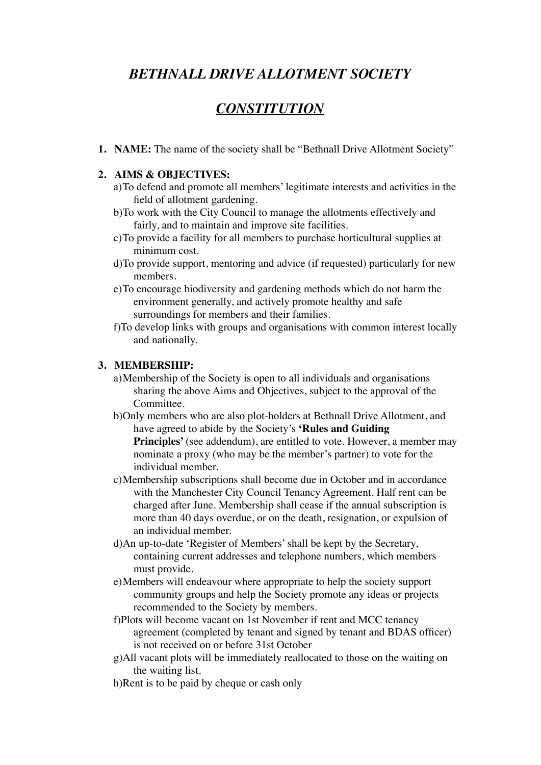# *BETHNALL DRIVE ALLOTMENT SOCIETY*

# *CONSTITUTION*

**1. NAME:** The name of the society shall be "Bethnall Drive Allotment Society"

#### **2. AIMS & OBJECTIVES:**

- a)To defend and promote all members' legitimate interests and activities in the field of allotment gardening.
- b)To work with the City Council to manage the allotments effectively and fairly, and to maintain and improve site facilities.
- c)To provide a facility for all members to purchase horticultural supplies at minimum cost.
- d)To provide support, mentoring and advice (if requested) particularly for new members.
- e)To encourage biodiversity and gardening methods which do not harm the environment generally, and actively promote healthy and safe surroundings for members and their families.
- f)To develop links with groups and organisations with common interest locally and nationally.

#### **3. MEMBERSHIP:**

- a)Membership of the Society is open to all individuals and organisations sharing the above Aims and Objectives, subject to the approval of the Committee.
- b)Only members who are also plot-holders at Bethnall Drive Allotment, and have agreed to abide by the Society's **'Rules and Guiding**  Principles' (see addendum), are entitled to vote. However, a member may nominate a proxy (who may be the member's partner) to vote for the individual member.
- c)Membership subscriptions shall become due in October and in accordance with the Manchester City Council Tenancy Agreement. Half rent can be charged after June. Membership shall cease if the annual subscription is more than 40 days overdue, or on the death, resignation, or expulsion of an individual member.
- d)An up-to-date 'Register of Members' shall be kept by the Secretary, containing current addresses and telephone numbers, which members must provide.
- e)Members will endeavour where appropriate to help the society support community groups and help the Society promote any ideas or projects recommended to the Society by members.
- f)Plots will become vacant on 1st November if rent and MCC tenancy agreement (completed by tenant and signed by tenant and BDAS officer) is not received on or before 31st October
- g)All vacant plots will be immediately reallocated to those on the waiting on the waiting list.
- h)Rent is to be paid by cheque or cash only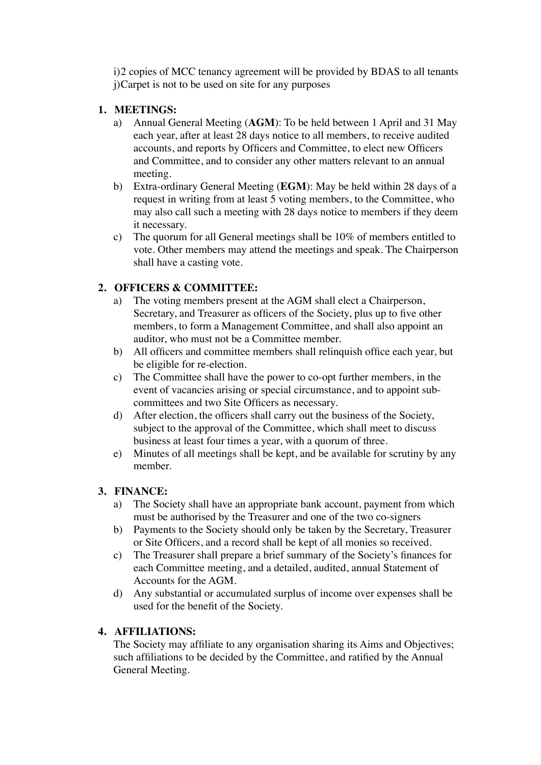i)2 copies of MCC tenancy agreement will be provided by BDAS to all tenants j)Carpet is not to be used on site for any purposes

## **1. MEETINGS:**

- a) Annual General Meeting (**AGM**): To be held between 1 April and 31 May each year, after at least 28 days notice to all members, to receive audited accounts, and reports by Officers and Committee, to elect new Officers and Committee, and to consider any other matters relevant to an annual meeting.
- b) Extra-ordinary General Meeting (**EGM**): May be held within 28 days of a request in writing from at least 5 voting members, to the Committee, who may also call such a meeting with 28 days notice to members if they deem it necessary.
- c) The quorum for all General meetings shall be 10% of members entitled to vote. Other members may attend the meetings and speak. The Chairperson shall have a casting vote.

## **2. OFFICERS & COMMITTEE:**

- a) The voting members present at the AGM shall elect a Chairperson, Secretary, and Treasurer as officers of the Society, plus up to five other members, to form a Management Committee, and shall also appoint an auditor, who must not be a Committee member.
- b) All officers and committee members shall relinquish office each year, but be eligible for re-election.
- c) The Committee shall have the power to co-opt further members, in the event of vacancies arising or special circumstance, and to appoint subcommittees and two Site Officers as necessary.
- d) After election, the officers shall carry out the business of the Society, subject to the approval of the Committee, which shall meet to discuss business at least four times a year, with a quorum of three.
- e) Minutes of all meetings shall be kept, and be available for scrutiny by any member.

### **3. FINANCE:**

- a) The Society shall have an appropriate bank account, payment from which must be authorised by the Treasurer and one of the two co-signers
- b) Payments to the Society should only be taken by the Secretary, Treasurer or Site Officers, and a record shall be kept of all monies so received.
- c) The Treasurer shall prepare a brief summary of the Society's finances for each Committee meeting, and a detailed, audited, annual Statement of Accounts for the AGM.
- d) Any substantial or accumulated surplus of income over expenses shall be used for the benefit of the Society.

### **4. AFFILIATIONS:**

The Society may affiliate to any organisation sharing its Aims and Objectives; such affiliations to be decided by the Committee, and ratified by the Annual General Meeting.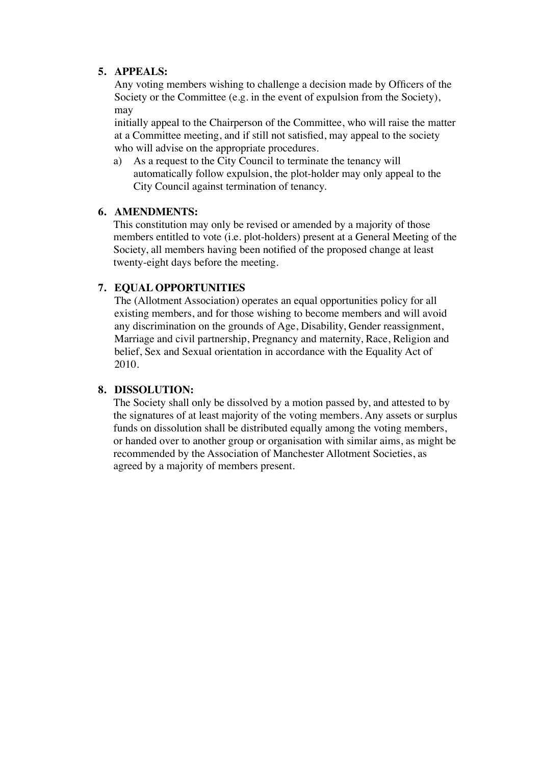#### **5. APPEALS:**

Any voting members wishing to challenge a decision made by Officers of the Society or the Committee (e.g. in the event of expulsion from the Society), may

initially appeal to the Chairperson of the Committee, who will raise the matter at a Committee meeting, and if still not satisfied, may appeal to the society who will advise on the appropriate procedures.

a) As a request to the City Council to terminate the tenancy will automatically follow expulsion, the plot-holder may only appeal to the City Council against termination of tenancy.

#### **6. AMENDMENTS:**

This constitution may only be revised or amended by a majority of those members entitled to vote (i.e. plot-holders) present at a General Meeting of the Society, all members having been notified of the proposed change at least twenty-eight days before the meeting.

## **7. EQUAL OPPORTUNITIES**

The (Allotment Association) operates an equal opportunities policy for all existing members, and for those wishing to become members and will avoid any discrimination on the grounds of Age, Disability, Gender reassignment, Marriage and civil partnership, Pregnancy and maternity, Race, Religion and belief, Sex and Sexual orientation in accordance with the Equality Act of 2010.

### **8. DISSOLUTION:**

The Society shall only be dissolved by a motion passed by, and attested to by the signatures of at least majority of the voting members. Any assets or surplus funds on dissolution shall be distributed equally among the voting members, or handed over to another group or organisation with similar aims, as might be recommended by the Association of Manchester Allotment Societies, as agreed by a majority of members present.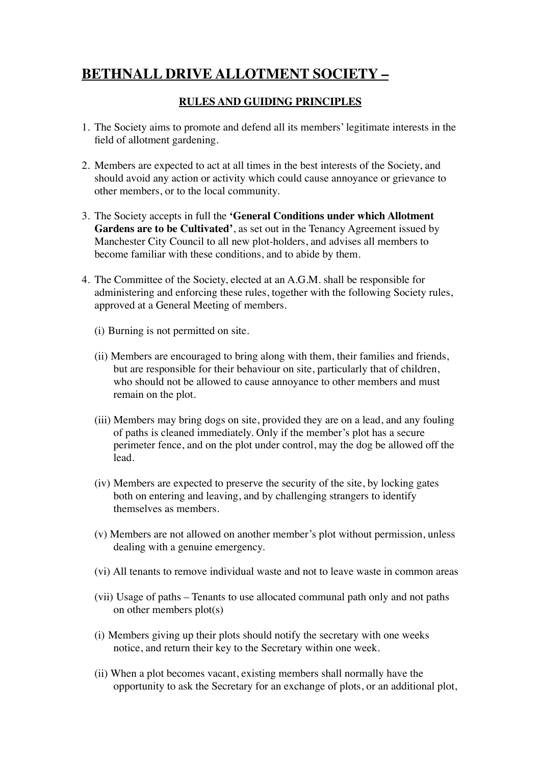# **BETHNALL DRIVE ALLOTMENT SOCIETY –**

## **RULES AND GUIDING PRINCIPLES**

- 1. The Society aims to promote and defend all its members' legitimate interests in the field of allotment gardening.
- 2. Members are expected to act at all times in the best interests of the Society, and should avoid any action or activity which could cause annoyance or grievance to other members, or to the local community.
- 3. The Society accepts in full the **'General Conditions under which Allotment Gardens are to be Cultivated'**, as set out in the Tenancy Agreement issued by Manchester City Council to all new plot-holders, and advises all members to become familiar with these conditions, and to abide by them.
- 4. The Committee of the Society, elected at an A.G.M. shall be responsible for administering and enforcing these rules, together with the following Society rules, approved at a General Meeting of members.
	- (i) Burning is not permitted on site.
	- (ii) Members are encouraged to bring along with them, their families and friends, but are responsible for their behaviour on site, particularly that of children, who should not be allowed to cause annoyance to other members and must remain on the plot.
	- (iii) Members may bring dogs on site, provided they are on a lead, and any fouling of paths is cleaned immediately. Only if the member's plot has a secure perimeter fence, and on the plot under control, may the dog be allowed off the lead.
	- (iv) Members are expected to preserve the security of the site, by locking gates both on entering and leaving, and by challenging strangers to identify themselves as members.
	- (v) Members are not allowed on another member's plot without permission, unless dealing with a genuine emergency.
	- (vi) All tenants to remove individual waste and not to leave waste in common areas
	- (vii) Usage of paths Tenants to use allocated communal path only and not paths on other members plot(s)
	- (i) Members giving up their plots should notify the secretary with one weeks notice, and return their key to the Secretary within one week.
	- (ii) When a plot becomes vacant, existing members shall normally have the opportunity to ask the Secretary for an exchange of plots, or an additional plot,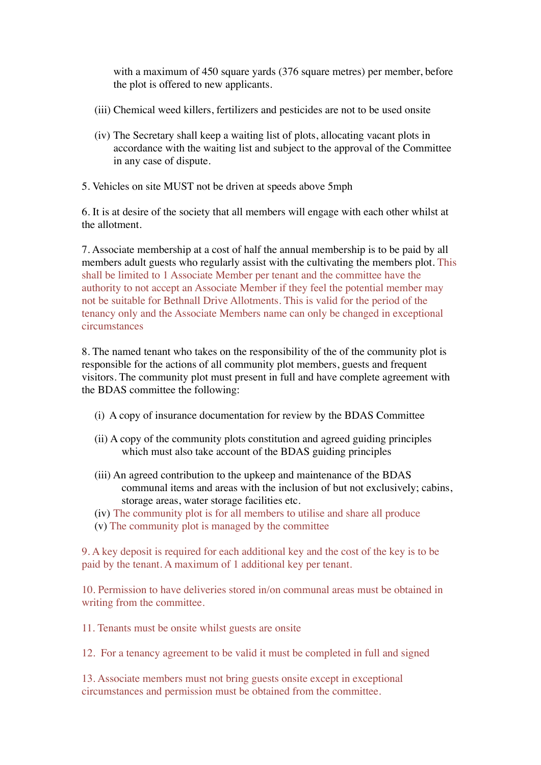with a maximum of 450 square yards (376 square metres) per member, before the plot is offered to new applicants.

- (iii) Chemical weed killers, fertilizers and pesticides are not to be used onsite
- (iv) The Secretary shall keep a waiting list of plots, allocating vacant plots in accordance with the waiting list and subject to the approval of the Committee in any case of dispute.
- 5. Vehicles on site MUST not be driven at speeds above 5mph

6. It is at desire of the society that all members will engage with each other whilst at the allotment.

7. Associate membership at a cost of half the annual membership is to be paid by all members adult guests who regularly assist with the cultivating the members plot. This shall be limited to 1 Associate Member per tenant and the committee have the authority to not accept an Associate Member if they feel the potential member may not be suitable for Bethnall Drive Allotments. This is valid for the period of the tenancy only and the Associate Members name can only be changed in exceptional circumstances

8. The named tenant who takes on the responsibility of the of the community plot is responsible for the actions of all community plot members, guests and frequent visitors. The community plot must present in full and have complete agreement with the BDAS committee the following:

- (i) A copy of insurance documentation for review by the BDAS Committee
- (ii) A copy of the community plots constitution and agreed guiding principles which must also take account of the BDAS guiding principles
- (iii) An agreed contribution to the upkeep and maintenance of the BDAS communal items and areas with the inclusion of but not exclusively; cabins, storage areas, water storage facilities etc.
- (iv) The community plot is for all members to utilise and share all produce
- (v) The community plot is managed by the committee

9. A key deposit is required for each additional key and the cost of the key is to be paid by the tenant. A maximum of 1 additional key per tenant.

10. Permission to have deliveries stored in/on communal areas must be obtained in writing from the committee.

11. Tenants must be onsite whilst guests are onsite

12. For a tenancy agreement to be valid it must be completed in full and signed

13. Associate members must not bring guests onsite except in exceptional circumstances and permission must be obtained from the committee.